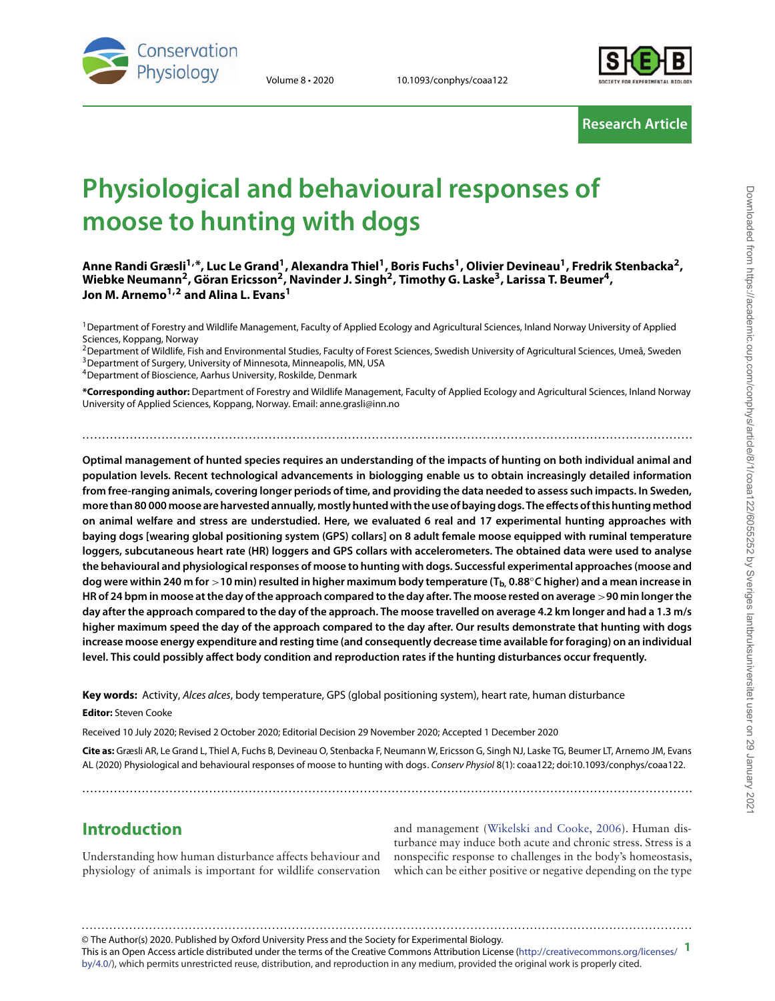

Volume 8 • 2020 10.1093/conphys/coaa122



# **Research Article**

# **Physiological and behavioural responses of moose to hunting with dogs**

**Anne Randi Græsli1,\*, Luc Le Grand1, Alexandra Thiel1, Boris Fuchs1, Olivier Devineau1, Fredrik Stenbacka2,** Wiebke Neumann<sup>2</sup>, Göran Ericsson<sup>2</sup>, Navinder J. Singh<sup>2</sup>, Timothy G. Laske<sup>3</sup>, Larissa T. Beumer<sup>4</sup>, **Jon M. Arnemo1,2 and Alina L. Evans1**

<sup>1</sup> Department of Forestry and Wildlife Management, Faculty of Applied Ecology and Agricultural Sciences, Inland Norway University of Applied Sciences, Koppang, Norway

<sup>2</sup> Department of Wildlife, Fish and Environmental Studies, Faculty of Forest Sciences, Swedish University of Agricultural Sciences, Umeå, Sweden <sup>3</sup> Department of Surgery, University of Minnesota, Minneapolis, MN, USA

4Department of Bioscience, Aarhus University, Roskilde, Denmark

**\*Corresponding author:** Department of Forestry and Wildlife Management, Faculty of Applied Ecology and Agricultural Sciences, Inland Norway University of Applied Sciences, Koppang, Norway. Email: anne.grasli@inn.no

..........................................................................................................................................................

**Optimal management of hunted species requires an understanding of the impacts of hunting on both individual animal and population levels. Recent technological advancements in biologging enable us to obtain increasingly detailed information from free-ranging animals, covering longer periods of time, and providing the data needed to assess such impacts. In Sweden, more than 80 000 moose are harvested annually, mostly hunted with the use of baying dogs. The effects of this hunting method on animal welfare and stress are understudied. Here, we evaluated 6 real and 17 experimental hunting approaches with baying dogs [wearing global positioning system (GPS) collars] on 8 adult female moose equipped with ruminal temperature loggers, subcutaneous heart rate (HR) loggers and GPS collars with accelerometers. The obtained data were used to analyse the behavioural and physiological responses of moose to hunting with dogs. Successful experimental approaches (moose and dog were within 240 m for** *>***10 min) resulted in higher maximum body temperature (Tb, 0.88**◦**C higher) and a mean increase in HR of 24 bpm in moose at the day of the approach compared to the day after. The moose rested on average** *>***90 min longer the day after the approach compared to the day of the approach. The moose travelled on average 4.2 km longer and had a 1.3 m/s higher maximum speed the day of the approach compared to the day after. Our results demonstrate that hunting with dogs increase moose energy expenditure and resting time (and consequently decrease time available for foraging) on an individual level. This could possibly affect body condition and reproduction rates if the hunting disturbances occur frequently.**

**Key words:** Activity, Alces alces, body temperature, GPS (global positioning system), heart rate, human disturbance

**Editor:** Steven Cooke

Received 10 July 2020; Revised 2 October 2020; Editorial Decision 29 November 2020; Accepted 1 December 2020

**Cite as:** Græsli AR, Le Grand L, Thiel A, Fuchs B, Devineau O, Stenbacka F, Neumann W, Ericsson G, Singh NJ, Laske TG, Beumer LT, Arnemo JM, Evans AL (2020) Physiological and behavioural responses of moose to hunting with dogs. Conserv Physiol 8(1): coaa122; doi:10.1093/conphys/coaa122.

..........................................................................................................................................................

# **Introduction**

Understanding how human disturbance affects behaviour and physiology of animals is important for wildlife conservation

and management [\(Wikelski and Cooke, 2006\)](#page-14-0). Human disturbance may induce both acute and chronic stress. Stress is a nonspecific response to challenges in the body's homeostasis, which can be either positive or negative depending on the type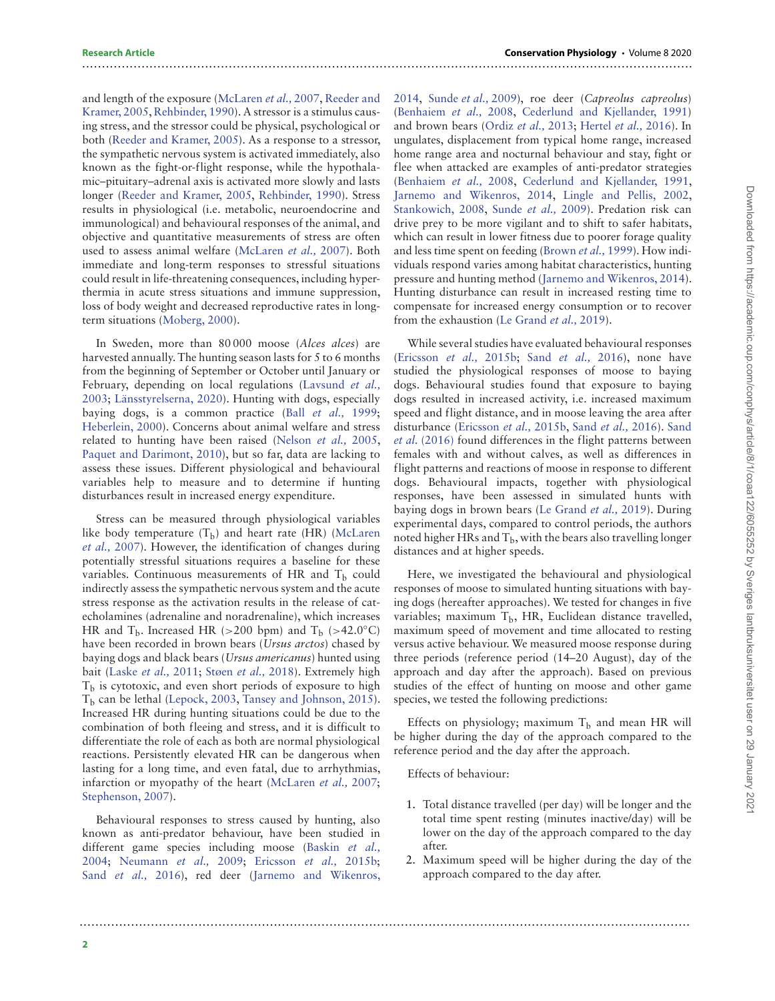#### and length of the exposure [\(McLaren](#page-13-0) et al., 2007, Reeder and Kramer, 2005, [Rehbinder, 1990\). A stressor is a stimulus caus](#page-13-1)ing stress, and the stressor could be physical, psychological or both [\(Reeder and Kramer, 2005\)](#page-13-1). As a response to a stressor, the sympathetic nervous system is activated immediately, also known as the fight-or-flight response, while the hypothalamic–pituitary–adrenal axis is activated more slowly and lasts longer [\(Reeder and Kramer, 2005,](#page-13-1) [Rehbinder, 1990\)](#page-13-2). Stress results in physiological (i.e. metabolic, neuroendocrine and immunological) and behavioural responses of the animal, and objective and quantitative measurements of stress are often used to assess animal welfare [\(McLaren](#page-13-0) et al., 2007). Both immediate and long-term responses to stressful situations could result in life-threatening consequences, including hyperthermia in acute stress situations and immune suppression, loss of body weight and decreased reproductive rates in longterm situations [\(Moberg, 2000\)](#page-13-3).

..........................................................................................................................................................

In Sweden, more than 80,000 moose (Alces alces) are harvested annually. The hunting season lasts for 5 to 6 months from the beginning of September or October until January or February, depending on local regulations (Lavsund et al., 2003; [Länsstyrelserna, 2020\). Hunting with dogs, especially](#page-12-0) baying dogs, is a common practice (Ball [et al.,](#page-11-0) 1999; [Heberlein, 2000\)](#page-12-1). Concerns about animal welfare and stress related to hunting have been raised [\(Nelson](#page-13-5) et al., 2005, [Paquet and Darimont, 2010\)](#page-13-6), but so far, data are lacking to assess these issues. Different physiological and behavioural variables help to measure and to determine if hunting disturbances result in increased energy expenditure.

Stress can be measured through physiological variables like body temperature  $(T_b)$  and heart rate (HR) (McLaren et al., 2007). However, the identification of changes during potentially stressful situations requires a baseline for these variables. Continuous measurements of HR and  $T_b$  could indirectly assess the sympathetic nervous system and the acute stress response as the activation results in the release of catecholamines (adrenaline and noradrenaline), which increases HR and  $T<sub>b</sub>$ . Increased HR ( $>200$  bpm) and  $T<sub>b</sub>$  ( $>42.0$ °C) have been recorded in brown bears (Ursus arctos) chased by baying dogs and black bears (Ursus americanus) hunted using bait [\(Laske](#page-12-2) et al., 2011; Støen [et al.,](#page-13-7) 2018). Extremely high  $T<sub>b</sub>$  is cytotoxic, and even short periods of exposure to high T<sub>b</sub> can be lethal [\(Lepock, 2003,](#page-12-3) [Tansey and Johnson, 2015\)](#page-13-8). Increased HR during hunting situations could be due to the combination of both fleeing and stress, and it is difficult to differentiate the role of each as both are normal physiological reactions. Persistently elevated HR can be dangerous when lasting for a long time, and even fatal, due to arrhythmias, infarction or myopathy of the heart [\(McLaren](#page-13-0) et al., 2007; [Stephenson, 2007\)](#page-13-9).

Behavioural responses to stress caused by hunting, also known as anti-predator behaviour, have been studied in [different game species including moose \(Baskin](#page-11-1) et al., 2004; [Neumann](#page-13-10) et al., 2009; [Ericsson](#page-12-4) et al., 2015b; Sand [et al.,](#page-13-11) 2016), red deer [\(Jarnemo and Wikenros,](#page-12-5)

[2014,](#page-12-5) [Sunde](#page-13-12) et al., 2009), roe deer (Capreolus capreolus) [\(Benhaiem](#page-11-2) et al., 2008, [Cederlund and Kjellander, 1991\)](#page-12-6) and brown bears [\(Ordiz](#page-13-13) et al., 2013; [Hertel](#page-12-7) et al., 2016). In ungulates, displacement from typical home range, increased home range area and nocturnal behaviour and stay, fight or flee when attacked are examples of anti-predator strategies [\(Benhaiem](#page-11-2) et al., 2008, [Cederlund and Kjellander, 1991,](#page-12-6) [Jarnemo and Wikenros, 2014,](#page-12-5) [Lingle and Pellis, 2002,](#page-13-14) [Stankowich, 2008,](#page-13-15) [Sunde](#page-13-12) et al., 2009). Predation risk can drive prey to be more vigilant and to shift to safer habitats, which can result in lower fitness due to poorer forage quality and less time spent on feeding [\(Brown](#page-12-8) et al., 1999). How individuals respond varies among habitat characteristics, hunting pressure and hunting method [\(Jarnemo and Wikenros, 2014\)](#page-12-5). Hunting disturbance can result in increased resting time to compensate for increased energy consumption or to recover from the exhaustion [\(Le Grand](#page-12-9) et al., 2019).

While several studies have evaluated behavioural responses [\(Ericsson](#page-12-4) et al., 2015b; Sand [et al.,](#page-13-11) 2016), none have studied the physiological responses of moose to baying dogs. Behavioural studies found that exposure to baying dogs resulted in increased activity, i.e. increased maximum speed and flight distance, and in moose leaving the area after disturbance [\(Ericsson](#page-12-4) et al., 2015b, Sand [et al.,](#page-13-11) 2016). Sand et al. (2016) [found differences in the flight patterns between](#page-13-11) females with and without calves, as well as differences in flight patterns and reactions of moose in response to different dogs. Behavioural impacts, together with physiological responses, have been assessed in simulated hunts with baying dogs in brown bears [\(Le Grand](#page-12-9) et al., 2019). During experimental days, compared to control periods, the authors noted higher HRs and  $T<sub>b</sub>$ , with the bears also travelling longer distances and at higher speeds.

Here, we investigated the behavioural and physiological responses of moose to simulated hunting situations with baying dogs (hereafter approaches). We tested for changes in five variables; maximum  $T<sub>b</sub>$ , HR, Euclidean distance travelled, maximum speed of movement and time allocated to resting versus active behaviour. We measured moose response during three periods (reference period (14–20 August), day of the approach and day after the approach). Based on previous studies of the effect of hunting on moose and other game species, we tested the following predictions:

Effects on physiology; maximum  $T<sub>b</sub>$  and mean HR will be higher during the day of the approach compared to the reference period and the day after the approach.

Effects of behaviour:

- 1. Total distance travelled (per day) will be longer and the total time spent resting (minutes inactive/day) will be lower on the day of the approach compared to the day after.
- 2. Maximum speed will be higher during the day of the approach compared to the day after.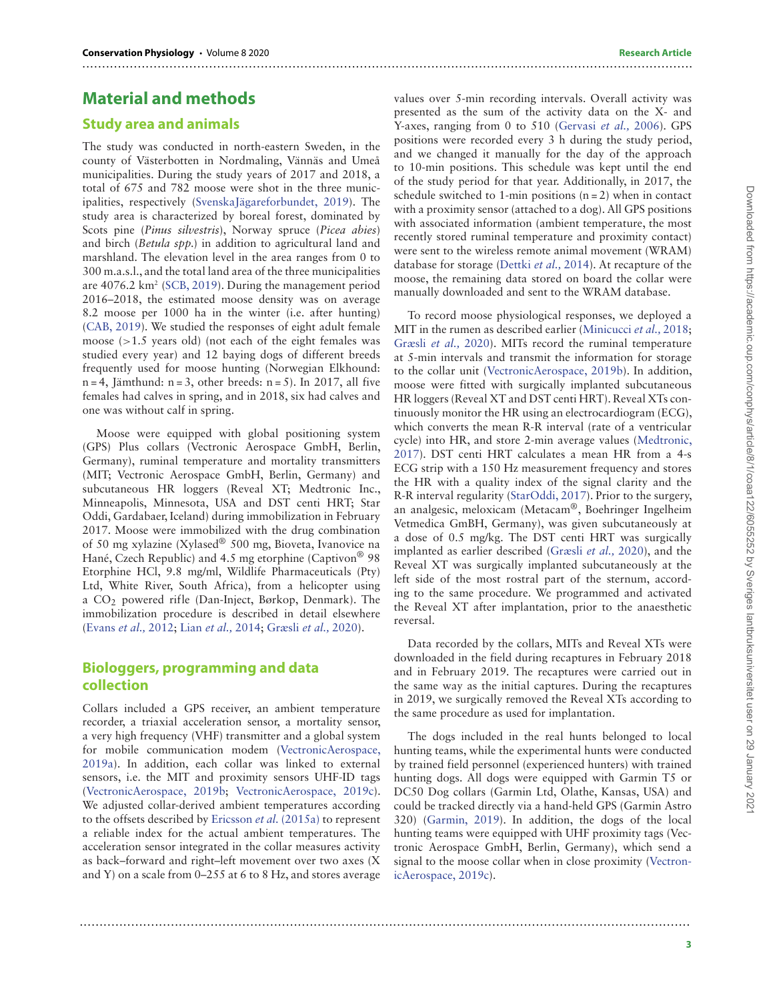# **Material and methods**

#### **Study area and animals**

The study was conducted in north-eastern Sweden, in the county of Västerbotten in Nordmaling, Vännäs and Umeå municipalities. During the study years of 2017 and 2018, a total of 675 and 782 moose were shot in the three municipalities, respectively [\(SvenskaJägareforbundet, 2019\)](#page-13-16). The study area is characterized by boreal forest, dominated by Scots pine (Pinus silvestris), Norway spruce (Picea abies) and birch (Betula spp.) in addition to agricultural land and marshland. The elevation level in the area ranges from 0 to 300 m.a.s.l., and the total land area of the three municipalities are  $4076.2 \text{ km}^2$  [\(SCB, 2019\)](#page-13-17). During the management period 2016–2018, the estimated moose density was on average 8.2 moose per 1000 ha in the winter (i.e. after hunting) [\(CAB, 2019\)](#page-12-10). We studied the responses of eight adult female moose (*>*1.5 years old) (not each of the eight females was studied every year) and 12 baying dogs of different breeds frequently used for moose hunting (Norwegian Elkhound:  $n = 4$ , Jämthund:  $n = 3$ , other breeds:  $n = 5$ ). In 2017, all five females had calves in spring, and in 2018, six had calves and one was without calf in spring.

Moose were equipped with global positioning system (GPS) Plus collars (Vectronic Aerospace GmbH, Berlin, Germany), ruminal temperature and mortality transmitters (MIT; Vectronic Aerospace GmbH, Berlin, Germany) and subcutaneous HR loggers (Reveal XT; Medtronic Inc., Minneapolis, Minnesota, USA and DST centi HRT; Star Oddi, Gardabaer, Iceland) during immobilization in February 2017. Moose were immobilized with the drug combination of 50 mg xylazine (Xylased® 500 mg, Bioveta, Ivanovice na Hané, Czech Republic) and 4.5 mg etorphine (Captivon<sup>®</sup> 98 Etorphine HCl, 9.8 mg/ml, Wildlife Pharmaceuticals (Pty) Ltd, White River, South Africa), from a helicopter using a CO2 powered rifle (Dan-Inject, Børkop, Denmark). The immobilization procedure is described in detail elsewhere [\(Evans](#page-12-11) et al., 2012; Lian [et al.,](#page-12-12) 2014; [Græsli](#page-12-13) et al., 2020).

### **Biologgers, programming and data collection**

Collars included a GPS receiver, an ambient temperature recorder, a triaxial acceleration sensor, a mortality sensor, a very high frequency (VHF) transmitter and a global system [for mobile communication modem \(VectronicAerospace,](#page-14-1) 2019a). In addition, each collar was linked to external sensors, i.e. the MIT and proximity sensors UHF-ID tags [\(VectronicAerospace, 2019b;](#page-14-2) [VectronicAerospace, 2019c\)](#page-14-3). We adjusted collar-derived ambient temperatures according to the offsets described by [Ericsson](#page-12-14) et al. (2015a) to represent a reliable index for the actual ambient temperatures. The acceleration sensor integrated in the collar measures activity as back–forward and right–left movement over two axes (X and Y) on a scale from 0–255 at 6 to 8 Hz, and stores average

values over 5-min recording intervals. Overall activity was presented as the sum of the activity data on the X- and Y-axes, ranging from 0 to 510 [\(Gervasi](#page-12-15) et al., 2006). GPS positions were recorded every 3 h during the study period, and we changed it manually for the day of the approach to 10-min positions. This schedule was kept until the end of the study period for that year. Additionally, in 2017, the schedule switched to 1-min positions  $(n = 2)$  when in contact with a proximity sensor (attached to a dog). All GPS positions with associated information (ambient temperature, the most recently stored ruminal temperature and proximity contact) were sent to the wireless remote animal movement (WRAM) database for storage [\(Dettki](#page-12-16) et al., 2014). At recapture of the moose, the remaining data stored on board the collar were manually downloaded and sent to the WRAM database.

..........................................................................................................................................................

..........................................................................................................................................................

To record moose physiological responses, we deployed a MIT in the rumen as described earlier [\(Minicucci](#page-13-18) et al., 2018; [Græsli](#page-12-13) et al., 2020). MITs record the ruminal temperature at 5-min intervals and transmit the information for storage to the collar unit [\(VectronicAerospace, 2019b\)](#page-14-2). In addition, moose were fitted with surgically implanted subcutaneous HR loggers (Reveal XT and DST centi HRT). Reveal XTs continuously monitor the HR using an electrocardiogram (ECG), which converts the mean R-R interval (rate of a ventricular [cycle\) into HR, and store 2-min average values \(Medtronic,](#page-13-19) 2017). DST centi HRT calculates a mean HR from a 4-s ECG strip with a 150 Hz measurement frequency and stores the HR with a quality index of the signal clarity and the R-R interval regularity [\(StarOddi, 2017\)](#page-13-20). Prior to the surgery, an analgesic, meloxicam (Metacam®, Boehringer Ingelheim Vetmedica GmBH, Germany), was given subcutaneously at a dose of 0.5 mg/kg. The DST centi HRT was surgically implanted as earlier described [\(Græsli](#page-12-13) et al., 2020), and the Reveal XT was surgically implanted subcutaneously at the left side of the most rostral part of the sternum, according to the same procedure. We programmed and activated the Reveal XT after implantation, prior to the anaesthetic reversal.

Data recorded by the collars, MITs and Reveal XTs were downloaded in the field during recaptures in February 2018 and in February 2019. The recaptures were carried out in the same way as the initial captures. During the recaptures in 2019, we surgically removed the Reveal XTs according to the same procedure as used for implantation.

The dogs included in the real hunts belonged to local hunting teams, while the experimental hunts were conducted by trained field personnel (experienced hunters) with trained hunting dogs. All dogs were equipped with Garmin T5 or DC50 Dog collars (Garmin Ltd, Olathe, Kansas, USA) and could be tracked directly via a hand-held GPS (Garmin Astro 320) [\(Garmin, 2019\)](#page-12-17). In addition, the dogs of the local hunting teams were equipped with UHF proximity tags (Vectronic Aerospace GmbH, Berlin, Germany), which send a [signal to the moose collar when in close proximity \(Vectron](#page-14-3)icAerospace, 2019c).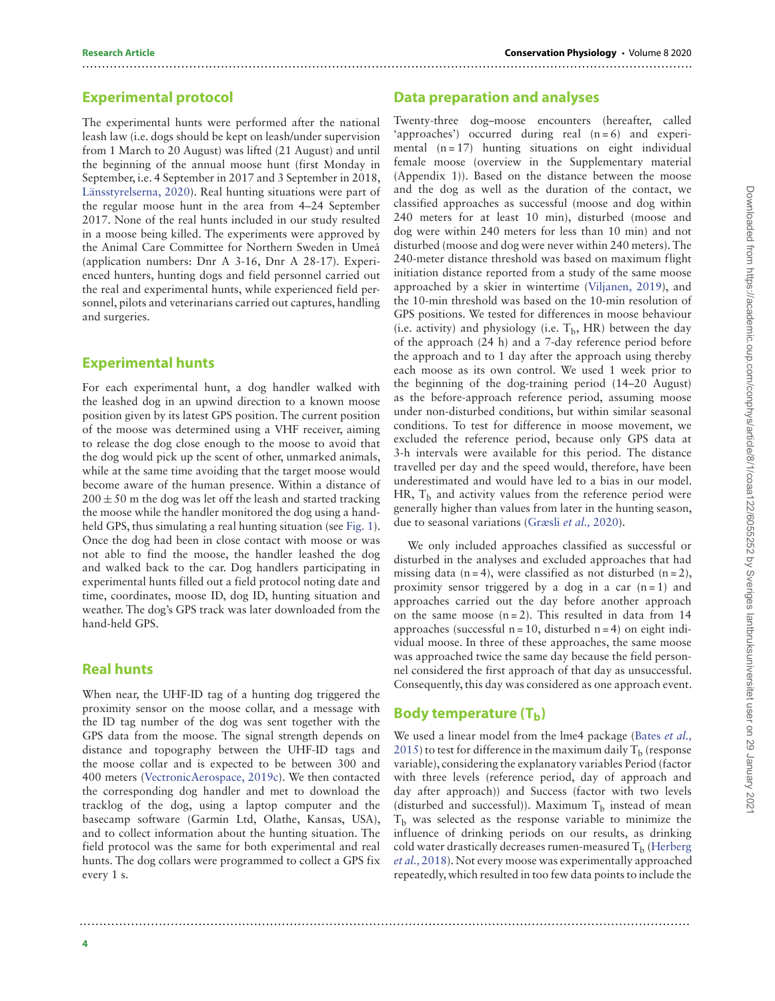#### **Experimental protocol**

The experimental hunts were performed after the national leash law (i.e. dogs should be kept on leash/under supervision from 1 March to 20 August) was lifted (21 August) and until the beginning of the annual moose hunt (first Monday in September, i.e. 4 September in 2017 and 3 September in 2018, [Länsstyrelserna, 2020\)](#page-13-4). Real hunting situations were part of the regular moose hunt in the area from 4–24 September 2017. None of the real hunts included in our study resulted in a moose being killed. The experiments were approved by the Animal Care Committee for Northern Sweden in Umeå (application numbers: Dnr A 3-16, Dnr A 28-17). Experienced hunters, hunting dogs and field personnel carried out the real and experimental hunts, while experienced field personnel, pilots and veterinarians carried out captures, handling and surgeries.

#### **Experimental hunts**

For each experimental hunt, a dog handler walked with the leashed dog in an upwind direction to a known moose position given by its latest GPS position. The current position of the moose was determined using a VHF receiver, aiming to release the dog close enough to the moose to avoid that the dog would pick up the scent of other, unmarked animals, while at the same time avoiding that the target moose would become aware of the human presence. Within a distance of  $200 \pm 50$  m the dog was let off the leash and started tracking the moose while the handler monitored the dog using a handheld GPS, thus simulating a real hunting situation (see [Fig. 1\)](#page-4-0). Once the dog had been in close contact with moose or was not able to find the moose, the handler leashed the dog and walked back to the car. Dog handlers participating in experimental hunts filled out a field protocol noting date and time, coordinates, moose ID, dog ID, hunting situation and weather. The dog's GPS track was later downloaded from the hand-held GPS.

#### **Real hunts**

When near, the UHF-ID tag of a hunting dog triggered the proximity sensor on the moose collar, and a message with the ID tag number of the dog was sent together with the GPS data from the moose. The signal strength depends on distance and topography between the UHF-ID tags and the moose collar and is expected to be between 300 and 400 meters [\(VectronicAerospace, 2019c\)](#page-14-3). We then contacted the corresponding dog handler and met to download the tracklog of the dog, using a laptop computer and the basecamp software (Garmin Ltd, Olathe, Kansas, USA), and to collect information about the hunting situation. The field protocol was the same for both experimental and real hunts. The dog collars were programmed to collect a GPS fix every 1 s.

### **Data preparation and analyses**

..........................................................................................................................................................

Twenty-three dog–moose encounters (hereafter, called 'approaches') occurred during real  $(n=6)$  and experimental  $(n = 17)$  hunting situations on eight individual female moose (overview in the Supplementary material (Appendix 1)). Based on the distance between the moose and the dog as well as the duration of the contact, we classified approaches as successful (moose and dog within 240 meters for at least 10 min), disturbed (moose and dog were within 240 meters for less than 10 min) and not disturbed (moose and dog were never within 240 meters). The 240-meter distance threshold was based on maximum flight initiation distance reported from a study of the same moose approached by a skier in wintertime [\(Viljanen, 2019\)](#page-14-4), and the 10-min threshold was based on the 10-min resolution of GPS positions. We tested for differences in moose behaviour (i.e. activity) and physiology (i.e.  $T<sub>b</sub>$ , HR) between the day of the approach (24 h) and a 7-day reference period before the approach and to 1 day after the approach using thereby each moose as its own control. We used 1 week prior to the beginning of the dog-training period (14–20 August) as the before-approach reference period, assuming moose under non-disturbed conditions, but within similar seasonal conditions. To test for difference in moose movement, we excluded the reference period, because only GPS data at 3-h intervals were available for this period. The distance travelled per day and the speed would, therefore, have been underestimated and would have led to a bias in our model. HR,  $T<sub>b</sub>$  and activity values from the reference period were generally higher than values from later in the hunting season, due to seasonal variations [\(Græsli](#page-12-13) et al., 2020).

We only included approaches classified as successful or disturbed in the analyses and excluded approaches that had missing data  $(n = 4)$ , were classified as not disturbed  $(n = 2)$ , proximity sensor triggered by a dog in a car  $(n = 1)$  and approaches carried out the day before another approach on the same moose  $(n=2)$ . This resulted in data from 14 approaches (successful  $n = 10$ , disturbed  $n = 4$ ) on eight individual moose. In three of these approaches, the same moose was approached twice the same day because the field personnel considered the first approach of that day as unsuccessful. Consequently, this day was considered as one approach event.

#### **Body temperature (T<sub>b</sub>)**

..........................................................................................................................................................

We used a linear model from the lme4 package (Bates et al., 2015) to test for difference in the maximum daily  $T<sub>b</sub>$  (response variable), considering the explanatory variables Period (factor with three levels (reference period, day of approach and day after approach)) and Success (factor with two levels (disturbed and successful)). Maximum  $T_b$  instead of mean  $T<sub>b</sub>$  was selected as the response variable to minimize the influence of drinking periods on our results, as drinking cold water drastically decreases rumen-measured  $T<sub>b</sub>$  (Herberg et al., 2018). Not every moose was experimentally approached repeatedly, which resulted in too few data points to include the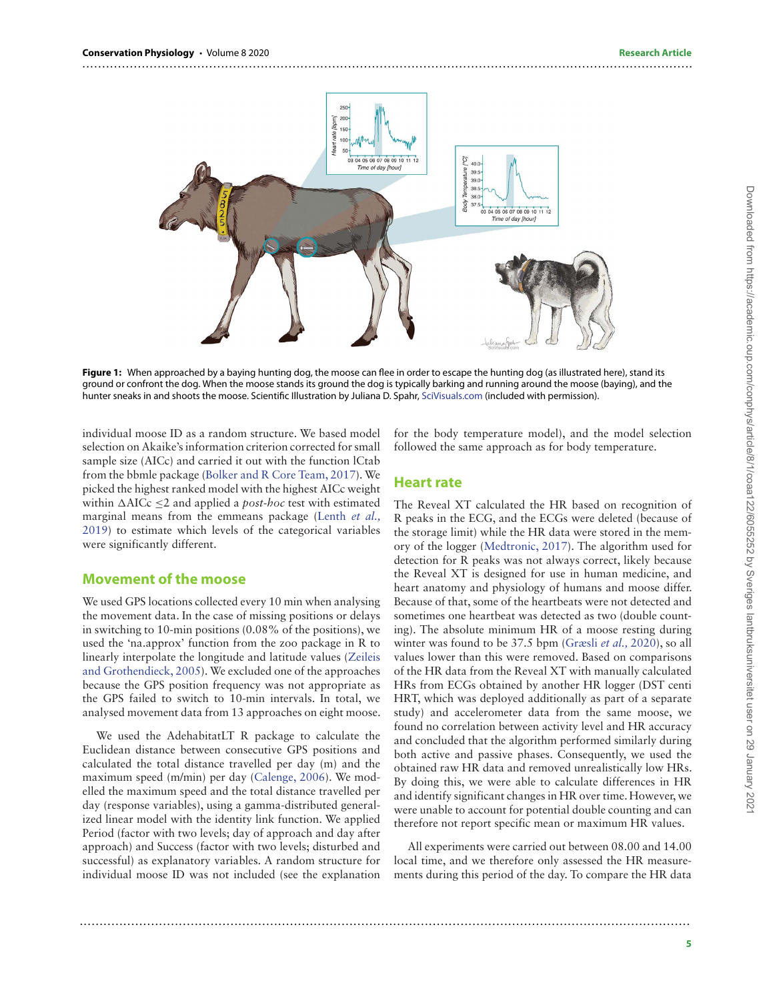

<span id="page-4-0"></span>Figure 1: When approached by a baying hunting dog, the moose can flee in order to escape the hunting dog (as illustrated here), stand its ground or confront the dog. When the moose stands its ground the dog is typically barking and running around the moose (baying), and the hunter sneaks in and shoots the moose. Scientific Illustration by Juliana D. Spahr, <SciVisuals.com> (included with permission).

individual moose ID as a random structure. We based model selection on Akaike's information criterion corrected for small sample size (AICc) and carried it out with the function lCtab from the bbmle package [\(Bolker and R Core Team, 2017\)](#page-11-4). We picked the highest ranked model with the highest AICc weight within  $\triangle$ AICc  $\leq$ 2 and applied a *post-hoc* test with estimated marginal means from the emmeans package (Lenth *et al.*, [2019\) to estimate which levels of the categorical variables](#page-12-19) were significantly different.

#### **Movement of the moose**

We used GPS locations collected every 10 min when analysing the movement data. In the case of missing positions or delays in switching to 10-min positions (0.08% of the positions), we used the 'na.approx' function from the zoo package in R to [linearly interpolate the longitude and latitude values \(Zeileis](#page-14-5) and Grothendieck, 2005). We excluded one of the approaches because the GPS position frequency was not appropriate as the GPS failed to switch to 10-min intervals. In total, we analysed movement data from 13 approaches on eight moose.

We used the AdehabitatLT R package to calculate the Euclidean distance between consecutive GPS positions and calculated the total distance travelled per day (m) and the maximum speed (m/min) per day [\(Calenge, 2006\)](#page-12-20). We modelled the maximum speed and the total distance travelled per day (response variables), using a gamma-distributed generalized linear model with the identity link function. We applied Period (factor with two levels; day of approach and day after approach) and Success (factor with two levels; disturbed and successful) as explanatory variables. A random structure for individual moose ID was not included (see the explanation

for the body temperature model), and the model selection followed the same approach as for body temperature.

#### **Heart rate**

The Reveal XT calculated the HR based on recognition of R peaks in the ECG, and the ECGs were deleted (because of the storage limit) while the HR data were stored in the memory of the logger [\(Medtronic, 2017\)](#page-13-19). The algorithm used for detection for R peaks was not always correct, likely because the Reveal XT is designed for use in human medicine, and heart anatomy and physiology of humans and moose differ. Because of that, some of the heartbeats were not detected and sometimes one heartbeat was detected as two (double counting). The absolute minimum HR of a moose resting during winter was found to be 37.5 bpm [\(Græsli](#page-12-13) et al., 2020), so all values lower than this were removed. Based on comparisons of the HR data from the Reveal XT with manually calculated HRs from ECGs obtained by another HR logger (DST centi HRT, which was deployed additionally as part of a separate study) and accelerometer data from the same moose, we found no correlation between activity level and HR accuracy and concluded that the algorithm performed similarly during both active and passive phases. Consequently, we used the obtained raw HR data and removed unrealistically low HRs. By doing this, we were able to calculate differences in HR and identify significant changes in HR over time. However, we were unable to account for potential double counting and can therefore not report specific mean or maximum HR values.

All experiments were carried out between 08.00 and 14.00 local time, and we therefore only assessed the HR measurements during this period of the day. To compare the HR data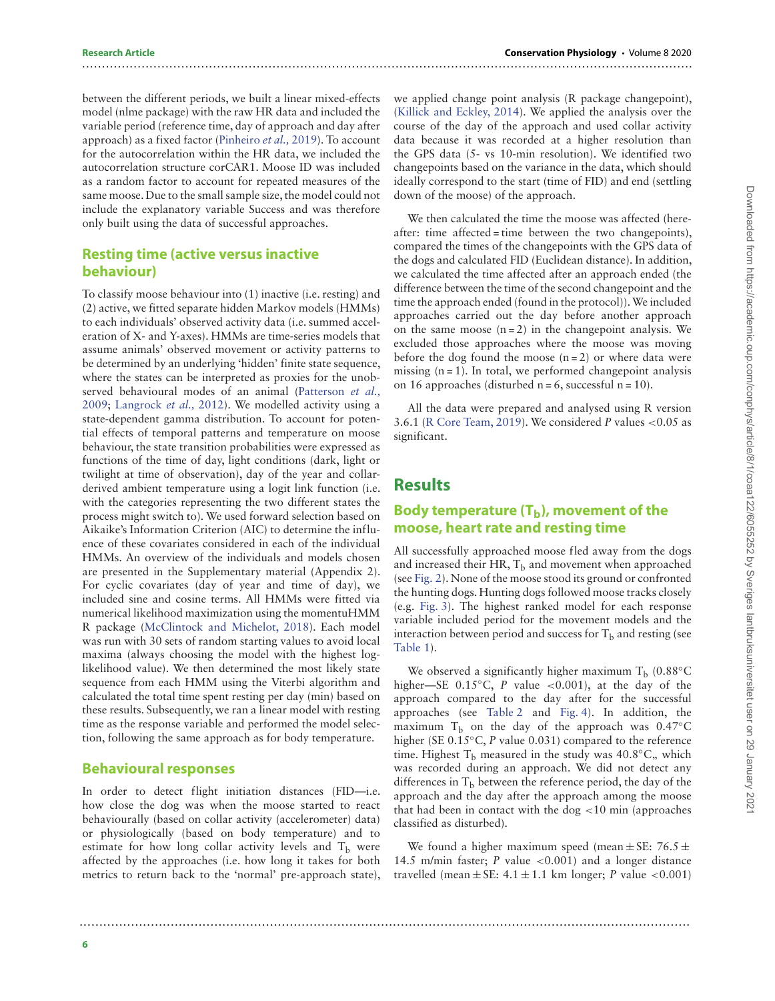between the different periods, we built a linear mixed-effects model (nlme package) with the raw HR data and included the variable period (reference time, day of approach and day after approach) as a fixed factor [\(Pinheiro](#page-13-21) et al., 2019). To account for the autocorrelation within the HR data, we included the autocorrelation structure corCAR1. Moose ID was included as a random factor to account for repeated measures of the same moose. Due to the small sample size, the model could not include the explanatory variable Success and was therefore only built using the data of successful approaches.

#### **Resting time (active versus inactive behaviour)**

To classify moose behaviour into (1) inactive (i.e. resting) and (2) active, we fitted separate hidden Markov models (HMMs) to each individuals' observed activity data (i.e. summed acceleration of X- and Y-axes). HMMs are time-series models that assume animals' observed movement or activity patterns to be determined by an underlying 'hidden' finite state sequence, where the states can be interpreted as proxies for the unob[served behavioural modes of an animal \(Patterson](#page-13-22) et al., 2009; [Langrock](#page-12-21) et al., 2012). We modelled activity using a state-dependent gamma distribution. To account for potential effects of temporal patterns and temperature on moose behaviour, the state transition probabilities were expressed as functions of the time of day, light conditions (dark, light or twilight at time of observation), day of the year and collarderived ambient temperature using a logit link function (i.e. with the categories representing the two different states the process might switch to). We used forward selection based on Aikaike's Information Criterion (AIC) to determine the influence of these covariates considered in each of the individual HMMs. An overview of the individuals and models chosen are presented in the Supplementary material (Appendix 2). For cyclic covariates (day of year and time of day), we included sine and cosine terms. All HMMs were fitted via numerical likelihood maximization using the momentuHMM R package [\(McClintock and Michelot, 2018\)](#page-13-23). Each model was run with 30 sets of random starting values to avoid local maxima (always choosing the model with the highest loglikelihood value). We then determined the most likely state sequence from each HMM using the Viterbi algorithm and calculated the total time spent resting per day (min) based on these results. Subsequently, we ran a linear model with resting time as the response variable and performed the model selection, following the same approach as for body temperature.

#### **Behavioural responses**

In order to detect flight initiation distances (FID—i.e. how close the dog was when the moose started to react behaviourally (based on collar activity (accelerometer) data) or physiologically (based on body temperature) and to estimate for how long collar activity levels and  $T_b$  were affected by the approaches (i.e. how long it takes for both metrics to return back to the 'normal' pre-approach state),

we applied change point analysis (R package changepoint), [\(Killick and Eckley, 2014\)](#page-12-22). We applied the analysis over the course of the day of the approach and used collar activity data because it was recorded at a higher resolution than the GPS data (5- vs 10-min resolution). We identified two changepoints based on the variance in the data, which should ideally correspond to the start (time of FID) and end (settling down of the moose) of the approach.

We then calculated the time the moose was affected (hereafter: time affected = time between the two changepoints), compared the times of the changepoints with the GPS data of the dogs and calculated FID (Euclidean distance). In addition, we calculated the time affected after an approach ended (the difference between the time of the second changepoint and the time the approach ended (found in the protocol)).We included approaches carried out the day before another approach on the same moose  $(n=2)$  in the changepoint analysis. We excluded those approaches where the moose was moving before the dog found the moose  $(n=2)$  or where data were missing  $(n = 1)$ . In total, we performed changepoint analysis on 16 approaches (disturbed  $n = 6$ , successful  $n = 10$ ).

All the data were prepared and analysed using R version 3.6.1 [\(R Core Team, 2019\)](#page-13-24). We considered P values *<*0.05 as significant.

# **Results**

..........................................................................................................................................................

..........................................................................................................................................................

### **Body temperature (T<sub>b</sub>), movement of the moose, heart rate and resting time**

All successfully approached moose fled away from the dogs and increased their HR,  $T<sub>b</sub>$  and movement when approached (see [Fig. 2\)](#page-6-0). None of the moose stood its ground or confronted the hunting dogs. Hunting dogs followed moose tracks closely (e.g. [Fig. 3\)](#page-6-1). The highest ranked model for each response variable included period for the movement models and the interaction between period and success for  $T<sub>b</sub>$  and resting (see [Table 1\)](#page-7-0).

We observed a significantly higher maximum  $T_b$  (0.88°C higher—SE 0.15◦C, P value *<*0.001), at the day of the approach compared to the day after for the successful approaches (see [Table 2](#page-8-0) and [Fig. 4\)](#page-7-1). In addition, the maximum  $T<sub>b</sub>$  on the day of the approach was 0.47°C higher (SE 0.15<sup>°</sup>C, P value 0.031) compared to the reference time. Highest T<sub>b</sub> measured in the study was 40.8°C, which was recorded during an approach. We did not detect any differences in  $T<sub>b</sub>$  between the reference period, the day of the approach and the day after the approach among the moose that had been in contact with the dog *<*10 min (approaches classified as disturbed).

We found a higher maximum speed (mean  $\pm$  SE: 76.5  $\pm$ 14.5 m/min faster; P value *<*0.001) and a longer distance travelled (mean  $\pm$  SE:  $4.1 \pm 1.1$  km longer; *P* value <0.001)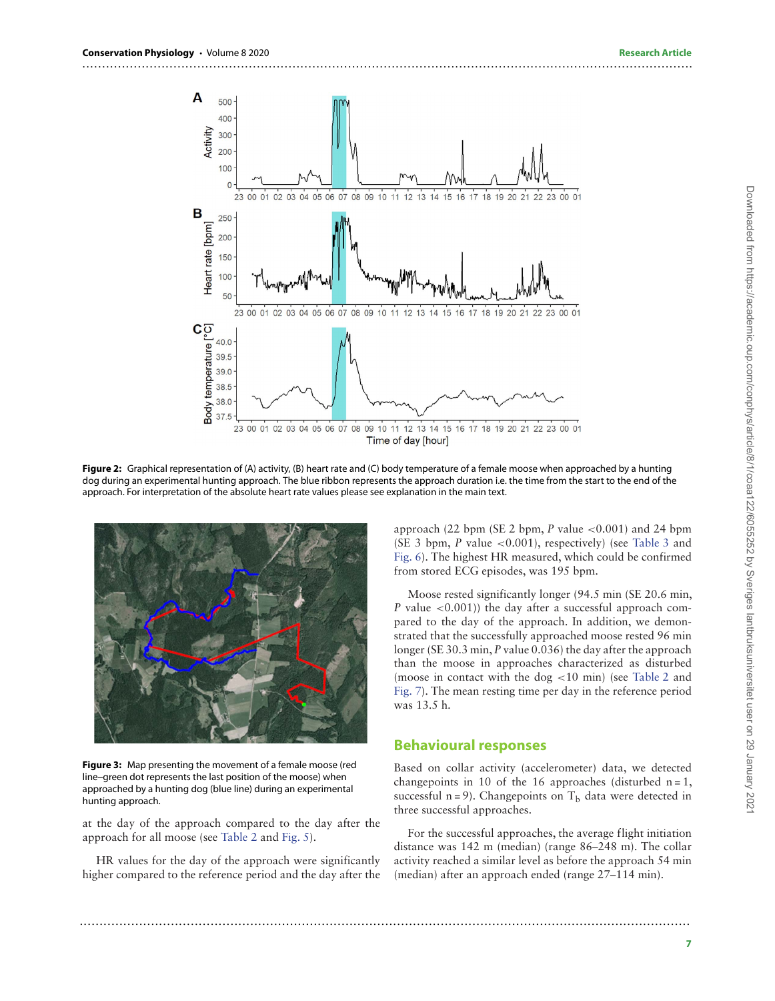

<span id="page-6-0"></span>**Figure 2:** Graphical representation of (A) activity, (B) heart rate and (C) body temperature of a female moose when approached by a hunting dog during an experimental hunting approach. The blue ribbon represents the approach duration i.e. the time from the start to the end of the approach. For interpretation of the absolute heart rate values please see explanation in the main text.



<span id="page-6-1"></span>**Figure 3:** Map presenting the movement of a female moose (red line–green dot represents the last position of the moose) when approached by a hunting dog (blue line) during an experimental hunting approach.

at the day of the approach compared to the day after the approach for all moose (see [Table 2](#page-8-0) and [Fig. 5\)](#page-8-1).

HR values for the day of the approach were significantly higher compared to the reference period and the day after the approach (22 bpm (SE 2 bpm, P value *<*0.001) and 24 bpm (SE 3 bpm, P value *<*0.001), respectively) (see [Table 3](#page-9-0) and [Fig. 6\)](#page-9-1). The highest HR measured, which could be confirmed from stored ECG episodes, was 195 bpm.

Moose rested significantly longer (94.5 min (SE 20.6 min, P value *<*0.001)) the day after a successful approach compared to the day of the approach. In addition, we demonstrated that the successfully approached moose rested 96 min longer (SE 30.3 min, P value 0.036) the day after the approach than the moose in approaches characterized as disturbed (moose in contact with the dog *<*10 min) (see [Table 2](#page-8-0) and [Fig. 7\)](#page-9-2). The mean resting time per day in the reference period was 13.5 h.

#### **Behavioural responses**

Based on collar activity (accelerometer) data, we detected changepoints in 10 of the 16 approaches (disturbed  $n = 1$ , successful  $n = 9$ ). Changepoints on  $T_b$  data were detected in three successful approaches.

For the successful approaches, the average flight initiation distance was 142 m (median) (range 86–248 m). The collar activity reached a similar level as before the approach 54 min (median) after an approach ended (range 27–114 min).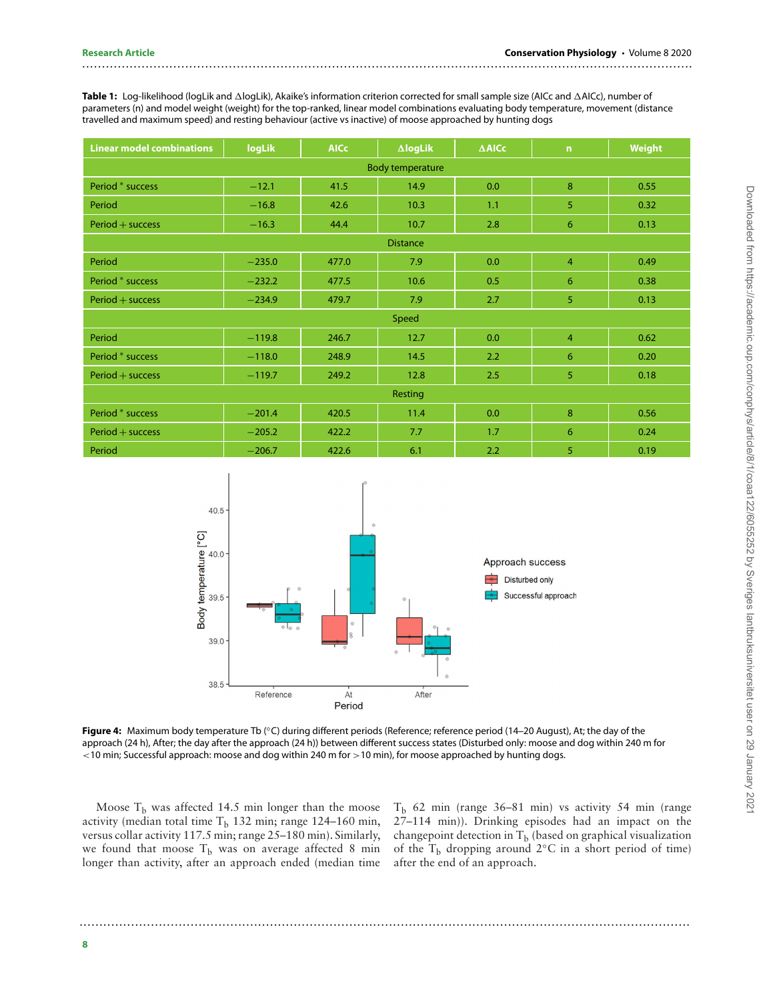<span id="page-7-0"></span>**Table 1:** Log-likelihood (logLik and ∆logLik), Akaike's information criterion corrected for small sample size (AICc and ∆AICc), number of parameters (n) and model weight (weight) for the top-ranked, linear model combinations evaluating body temperature, movement (distance travelled and maximum speed) and resting behaviour (active vs inactive) of moose approached by hunting dogs

..........................................................................................................................................................

| <b>Linear model combinations</b> | logLik   | <b>AICc</b> | $\Delta$ logLik | $\triangle$ AICc | $\mathsf{n}$   | <b>Weight</b> |  |  |
|----------------------------------|----------|-------------|-----------------|------------------|----------------|---------------|--|--|
| <b>Body temperature</b>          |          |             |                 |                  |                |               |  |  |
| Period * success                 | $-12.1$  | 41.5        | 14.9            | 0.0              | 8              | 0.55          |  |  |
| Period                           | $-16.8$  | 42.6        | 10.3            | 1.1              | 5              | 0.32          |  |  |
| $Period + success$               | $-16.3$  | 44.4        | 10.7            | 2.8              | 6              | 0.13          |  |  |
| <b>Distance</b>                  |          |             |                 |                  |                |               |  |  |
| Period                           | $-235.0$ | 477.0       | 7.9             | 0.0              | $\overline{4}$ | 0.49          |  |  |
| Period * success                 | $-232.2$ | 477.5       | 10.6            | 0.5              | 6              | 0.38          |  |  |
| $Period + success$               | $-234.9$ | 479.7       | 7.9             | 2.7              | 5              | 0.13          |  |  |
| Speed                            |          |             |                 |                  |                |               |  |  |
| Period                           | $-119.8$ | 246.7       | 12.7            | 0.0              | $\overline{4}$ | 0.62          |  |  |
| Period * success                 | $-118.0$ | 248.9       | 14.5            | 2.2              | 6              | 0.20          |  |  |
| $Period + success$               | $-119.7$ | 249.2       | 12.8            | 2.5              | 5              | 0.18          |  |  |
| Resting                          |          |             |                 |                  |                |               |  |  |
| Period * success                 | $-201.4$ | 420.5       | 11.4            | 0.0              | 8              | 0.56          |  |  |
| $Period + success$               | $-205.2$ | 422.2       | 7.7             | 1.7              | 6              | 0.24          |  |  |
| Period                           | $-206.7$ | 422.6       | 6.1             | 2.2              | 5              | 0.19          |  |  |



<span id="page-7-1"></span>**Figure 4:** Maximum body temperature Tb (◦C) during different periods (Reference; reference period (14–20 August), At; the day of the approach (24 h), After; the day after the approach (24 h)) between different success states (Disturbed only: moose and dog within 240 m for *<*10 min; Successful approach: moose and dog within 240 m for *>*10 min), for moose approached by hunting dogs.

..........................................................................................................................................................

Moose  $T_b$  was affected 14.5 min longer than the moose activity (median total time  $T_b$  132 min; range 124–160 min, versus collar activity 117.5 min; range 25–180 min). Similarly, we found that moose  $T_b$  was on average affected 8 min longer than activity, after an approach ended (median time

 $T<sub>b</sub>$  62 min (range 36–81 min) vs activity 54 min (range 27–114 min)). Drinking episodes had an impact on the changepoint detection in  $T_b$  (based on graphical visualization of the T<sub>b</sub> dropping around 2 $\degree$ C in a short period of time) after the end of an approach.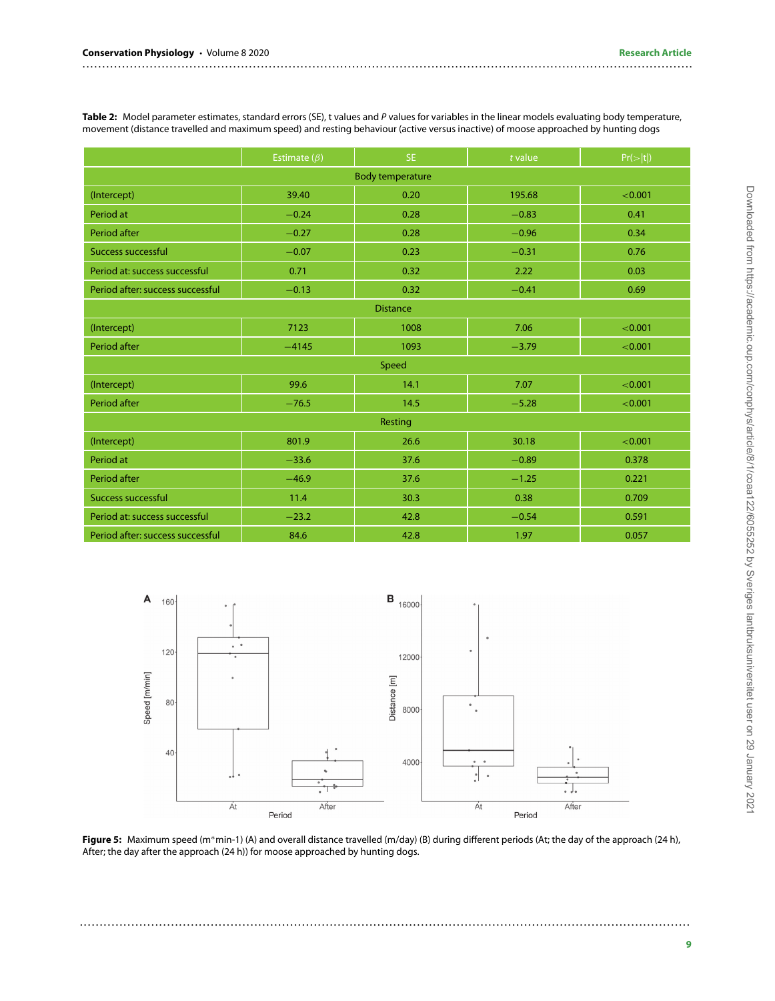<span id="page-8-0"></span>Table 2: Model parameter estimates, standard errors (SE), t values and P values for variables in the linear models evaluating body temperature, movement (distance travelled and maximum speed) and resting behaviour (active versus inactive) of moose approached by hunting dogs

..........................................................................................................................................................

|                                  | Estimate $(\beta)$ | SE.  | $t$ value | Pr(> t ) |  |  |  |  |
|----------------------------------|--------------------|------|-----------|----------|--|--|--|--|
| <b>Body temperature</b>          |                    |      |           |          |  |  |  |  |
| (Intercept)                      | 39.40              | 0.20 | 195.68    | < 0.001  |  |  |  |  |
| Period at                        | $-0.24$            | 0.28 | $-0.83$   | 0.41     |  |  |  |  |
| Period after                     | $-0.27$            | 0.28 | $-0.96$   | 0.34     |  |  |  |  |
| <b>Success successful</b>        | $-0.07$            | 0.23 | $-0.31$   | 0.76     |  |  |  |  |
| Period at: success successful    | 0.71               | 0.32 | 2.22      | 0.03     |  |  |  |  |
| Period after: success successful | $-0.13$            | 0.32 | $-0.41$   | 0.69     |  |  |  |  |
| <b>Distance</b>                  |                    |      |           |          |  |  |  |  |
| (Intercept)                      | 7123               | 1008 | 7.06      | < 0.001  |  |  |  |  |
| Period after                     | $-4145$            | 1093 | $-3.79$   | < 0.001  |  |  |  |  |
| Speed                            |                    |      |           |          |  |  |  |  |
| (Intercept)                      | 99.6               | 14.1 | 7.07      | < 0.001  |  |  |  |  |
| Period after                     | $-76.5$            | 14.5 | $-5.28$   | < 0.001  |  |  |  |  |
| Resting                          |                    |      |           |          |  |  |  |  |
| (Intercept)                      | 801.9              | 26.6 | 30.18     | < 0.001  |  |  |  |  |
| Period at                        | $-33.6$            | 37.6 | $-0.89$   | 0.378    |  |  |  |  |
| Period after                     | $-46.9$            | 37.6 | $-1.25$   | 0.221    |  |  |  |  |
| <b>Success successful</b>        | 11.4               | 30.3 | 0.38      | 0.709    |  |  |  |  |
| Period at: success successful    | $-23.2$            | 42.8 | $-0.54$   | 0.591    |  |  |  |  |
| Period after: success successful | 84.6               | 42.8 | 1.97      | 0.057    |  |  |  |  |



<span id="page-8-1"></span>**Figure 5:** Maximum speed (m∗min-1) (A) and overall distance travelled (m/day) (B) during different periods (At; the day of the approach (24 h), After; the day after the approach (24 h)) for moose approached by hunting dogs.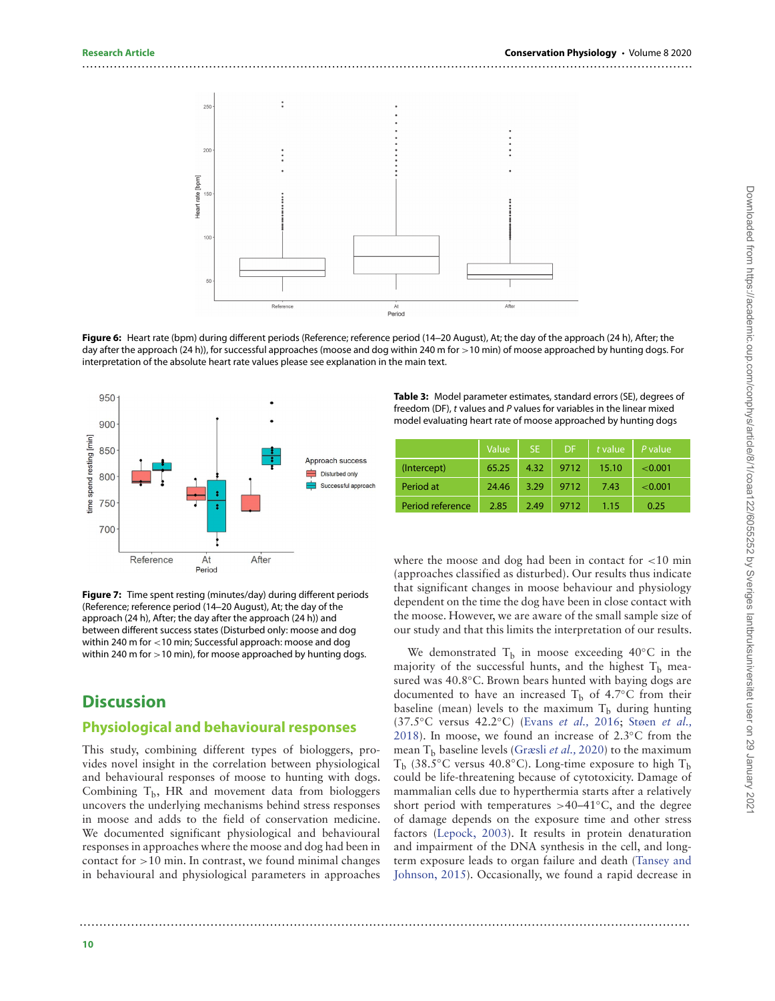

<span id="page-9-1"></span>**Figure 6:** Heart rate (bpm) during different periods (Reference; reference period (14–20 August), At; the day of the approach (24 h), After; the day after the approach (24 h)), for successful approaches (moose and dog within 240 m for *>*10 min) of moose approached by hunting dogs. For interpretation of the absolute heart rate values please see explanation in the main text.

..........................................................................................................................................................



<span id="page-9-2"></span>**Figure 7:** Time spent resting (minutes/day) during different periods (Reference; reference period (14–20 August), At; the day of the approach (24 h), After; the day after the approach (24 h)) and between different success states (Disturbed only: moose and dog within 240 m for *<*10 min; Successful approach: moose and dog within 240 m for *>*10 min), for moose approached by hunting dogs.

# **Discussion**

#### **Physiological and behavioural responses**

This study, combining different types of biologgers, provides novel insight in the correlation between physiological and behavioural responses of moose to hunting with dogs. Combining  $T_b$ , HR and movement data from biologgers uncovers the underlying mechanisms behind stress responses in moose and adds to the field of conservation medicine. We documented significant physiological and behavioural responses in approaches where the moose and dog had been in contact for *>*10 min. In contrast, we found minimal changes in behavioural and physiological parameters in approaches

<span id="page-9-0"></span>**Table 3:** Model parameter estimates, standard errors (SE), degrees of freedom (DF), t values and P values for variables in the linear mixed model evaluating heart rate of moose approached by hunting dogs

|                  | Value | <b>SE</b> | DF.  | t value | P value. |
|------------------|-------|-----------|------|---------|----------|
| (Intercept)      | 65.25 | 4.32      | 9712 | 15.10   | < 0.001  |
| Period at        | 24.46 | 3.29      | 9712 | 7.43    | < 0.001  |
| Period reference | 2.85  | 2.49      | 9712 | 1.15    | 0.25     |

where the moose and dog had been in contact for *<*10 min (approaches classified as disturbed). Our results thus indicate that significant changes in moose behaviour and physiology dependent on the time the dog have been in close contact with the moose. However, we are aware of the small sample size of our study and that this limits the interpretation of our results.

We demonstrated  $T_b$  in moose exceeding 40 $°C$  in the majority of the successful hunts, and the highest  $T_b$  measured was 40.8◦C. Brown bears hunted with baying dogs are documented to have an increased  $T_b$  of 4.7°C from their baseline (mean) levels to the maximum  $T_b$  during hunting (37.5◦C versus 42.2◦C) [\(Evans](#page-12-23) et al., 2016; Støen et al., [2018\). In moose, we found an increase of 2.3](#page-13-7)◦C from the mean  $T_b$  baseline levels [\(Græsli](#page-12-13) et al., 2020) to the maximum T<sub>b</sub> (38.5<sup>°</sup>C versus 40.8<sup>°</sup>C). Long-time exposure to high T<sub>b</sub> could be life-threatening because of cytotoxicity. Damage of mammalian cells due to hyperthermia starts after a relatively short period with temperatures *>*40–41◦C, and the degree of damage depends on the exposure time and other stress factors [\(Lepock, 2003\)](#page-12-3). It results in protein denaturation and impairment of the DNA synthesis in the cell, and long[term exposure leads to organ failure and death \(Tansey and](#page-13-8) Johnson, 2015). Occasionally, we found a rapid decrease in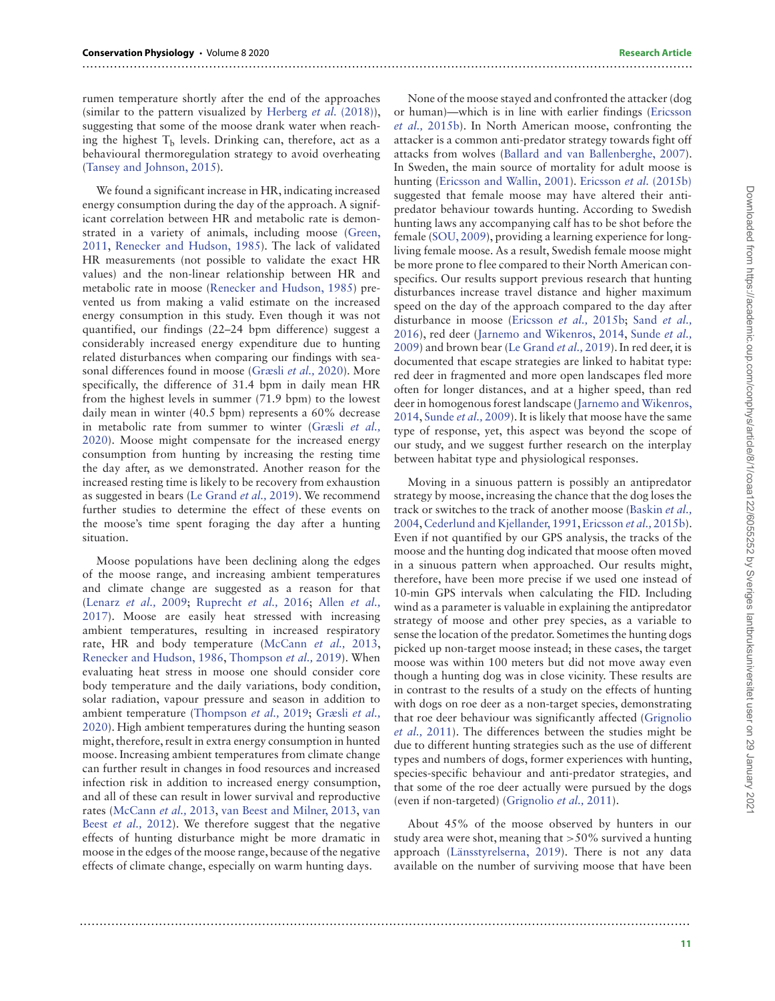rumen temperature shortly after the end of the approaches (similar to the pattern visualized by [Herberg](#page-12-18) *et al.*  $(2018)$ ), suggesting that some of the moose drank water when reaching the highest  $T<sub>b</sub>$  levels. Drinking can, therefore, act as a behavioural thermoregulation strategy to avoid overheating [\(Tansey and Johnson, 2015\)](#page-13-8).

..........................................................................................................................................................

..........................................................................................................................................................

We found a significant increase in HR, indicating increased energy consumption during the day of the approach. A significant correlation between HR and metabolic rate is demon[strated in a variety of animals, including moose \(Green,](#page-12-24) 2011, [Renecker and Hudson, 1985\)](#page-13-25). The lack of validated HR measurements (not possible to validate the exact HR values) and the non-linear relationship between HR and metabolic rate in moose [\(Renecker and Hudson, 1985\)](#page-13-25) prevented us from making a valid estimate on the increased energy consumption in this study. Even though it was not quantified, our findings (22–24 bpm difference) suggest a considerably increased energy expenditure due to hunting related disturbances when comparing our findings with seasonal differences found in moose [\(Græsli](#page-12-13) et al., 2020). More specifically, the difference of 31.4 bpm in daily mean HR from the highest levels in summer (71.9 bpm) to the lowest daily mean in winter (40.5 bpm) represents a 60% decrease in metabolic rate from summer to winter (Græsli et al., [2020\). Moose might compensate for the increased energy](#page-12-13) consumption from hunting by increasing the resting time the day after, as we demonstrated. Another reason for the increased resting time is likely to be recovery from exhaustion as suggested in bears [\(Le Grand](#page-12-9) et al., 2019). We recommend further studies to determine the effect of these events on the moose's time spent foraging the day after a hunting situation.

Moose populations have been declining along the edges of the moose range, and increasing ambient temperatures and climate change are suggested as a reason for that [\(Lenarz](#page-12-25) et al., 2009; [Ruprecht](#page-13-26) et al., 2016; Allen et al., [2017\). Moose are easily heat stressed with increasing](#page-11-5) ambient temperatures, resulting in increased respiratory rate, HR and body temperature [\(McCann](#page-13-27) et al., 2013, [Renecker and Hudson, 1986,](#page-13-28) [Thompson](#page-14-6) et al., 2019). When evaluating heat stress in moose one should consider core body temperature and the daily variations, body condition, solar radiation, vapour pressure and season in addition to ambient temperature [\(Thompson](#page-14-6) et al., 2019; Græsli et al., [2020\). High ambient temperatures during the hunting season](#page-12-13) might, therefore, result in extra energy consumption in hunted moose. Increasing ambient temperatures from climate change can further result in changes in food resources and increased infection risk in addition to increased energy consumption, and all of these can result in lower survival and reproductive rates [\(McCann](#page-13-27) et al., 2013, [van Beest and Milner, 2013,](#page-14-7) van Beest *et al.*, [2012\). We therefore suggest that the negative](#page-14-8) effects of hunting disturbance might be more dramatic in moose in the edges of the moose range, because of the negative effects of climate change, especially on warm hunting days.

None of the moose stayed and confronted the attacker (dog [or human\)—which is in line with earlier findings \(Ericsson](#page-12-4) et al., 2015b). In North American moose, confronting the attacker is a common anti-predator strategy towards fight off attacks from wolves [\(Ballard and van Ballenberghe, 2007\)](#page-11-6). In Sweden, the main source of mortality for adult moose is hunting [\(Ericsson and Wallin, 2001\)](#page-12-26). [Ericsson](#page-12-4) et al. (2015b) suggested that female moose may have altered their antipredator behaviour towards hunting. According to Swedish hunting laws any accompanying calf has to be shot before the female [\(SOU, 2009\)](#page-13-29), providing a learning experience for longliving female moose. As a result, Swedish female moose might be more prone to flee compared to their North American conspecifics. Our results support previous research that hunting disturbances increase travel distance and higher maximum speed on the day of the approach compared to the day after disturbance in moose [\(Ericsson](#page-12-4) et al., 2015b; Sand et al., [2016\), red deer \(Jarnemo and Wikenros, 2014,](#page-13-11) Sunde et al., 2009) and brown bear [\(Le Grand](#page-12-9) et al., 2019). In red deer, it is documented that escape strategies are linked to habitat type: red deer in fragmented and more open landscapes fled more often for longer distances, and at a higher speed, than red [deer in homogenous forest landscape \(Jarnemo and Wikenros,](#page-12-5) 2014, [Sunde](#page-13-12) et al., 2009). It is likely that moose have the same type of response, yet, this aspect was beyond the scope of our study, and we suggest further research on the interplay between habitat type and physiological responses.

Moving in a sinuous pattern is possibly an antipredator strategy by moose, increasing the chance that the dog loses the [track or switches to the track of another moose \(Baskin](#page-11-1) et al., 2004, [Cederlund and Kjellander, 1991,](#page-12-6) [Ericsson](#page-12-4) et al., 2015b). Even if not quantified by our GPS analysis, the tracks of the moose and the hunting dog indicated that moose often moved in a sinuous pattern when approached. Our results might, therefore, have been more precise if we used one instead of 10-min GPS intervals when calculating the FID. Including wind as a parameter is valuable in explaining the antipredator strategy of moose and other prey species, as a variable to sense the location of the predator. Sometimes the hunting dogs picked up non-target moose instead; in these cases, the target moose was within 100 meters but did not move away even though a hunting dog was in close vicinity. These results are in contrast to the results of a study on the effects of hunting with dogs on roe deer as a non-target species, demonstrating [that roe deer behaviour was significantly affected \(Grignolio](#page-12-27) et al., 2011). The differences between the studies might be due to different hunting strategies such as the use of different types and numbers of dogs, former experiences with hunting, species-specific behaviour and anti-predator strategies, and that some of the roe deer actually were pursued by the dogs (even if non-targeted) [\(Grignolio](#page-12-27) et al., 2011).

About 45% of the moose observed by hunters in our study area were shot, meaning that *>*50% survived a hunting approach [\(Länsstyrelserna, 2019\)](#page-13-30). There is not any data available on the number of surviving moose that have been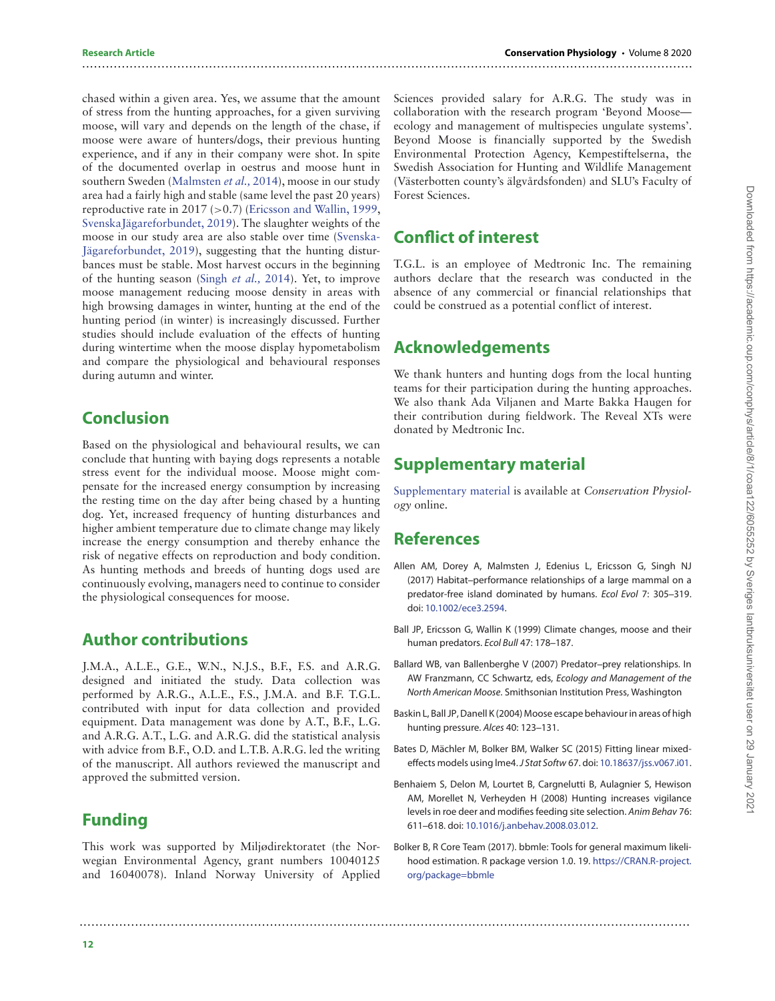chased within a given area. Yes, we assume that the amount of stress from the hunting approaches, for a given surviving moose, will vary and depends on the length of the chase, if moose were aware of hunters/dogs, their previous hunting experience, and if any in their company were shot. In spite of the documented overlap in oestrus and moose hunt in southern Sweden [\(Malmsten](#page-13-31) et al., 2014), moose in our study area had a fairly high and stable (same level the past 20 years) reproductive rate in 2017 (*>*0.7) [\(Ericsson and Wallin, 1999,](#page-12-28) [SvenskaJägareforbundet, 2019\)](#page-13-16). The slaughter weights of the [moose in our study area are also stable over time \(Svenska-](#page-13-16)Jägareforbundet, 2019), suggesting that the hunting disturbances must be stable. Most harvest occurs in the beginning of the hunting season [\(Singh](#page-13-32) et al., 2014). Yet, to improve moose management reducing moose density in areas with high browsing damages in winter, hunting at the end of the hunting period (in winter) is increasingly discussed. Further studies should include evaluation of the effects of hunting during wintertime when the moose display hypometabolism and compare the physiological and behavioural responses during autumn and winter.

# **Conclusion**

Based on the physiological and behavioural results, we can conclude that hunting with baying dogs represents a notable stress event for the individual moose. Moose might compensate for the increased energy consumption by increasing the resting time on the day after being chased by a hunting dog. Yet, increased frequency of hunting disturbances and higher ambient temperature due to climate change may likely increase the energy consumption and thereby enhance the risk of negative effects on reproduction and body condition. As hunting methods and breeds of hunting dogs used are continuously evolving, managers need to continue to consider the physiological consequences for moose.

## **Author contributions**

J.M.A., A.L.E., G.E., W.N., N.J.S., B.F., F.S. and A.R.G. designed and initiated the study. Data collection was performed by A.R.G., A.L.E., F.S., J.M.A. and B.F. T.G.L. contributed with input for data collection and provided equipment. Data management was done by A.T., B.F., L.G. and A.R.G. A.T., L.G. and A.R.G. did the statistical analysis with advice from B.F., O.D. and L.T.B. A.R.G. led the writing of the manuscript. All authors reviewed the manuscript and approved the submitted version.

# **Funding**

This work was supported by Miljødirektoratet (the Norwegian Environmental Agency, grant numbers 10040125 and 16040078). Inland Norway University of Applied

Sciences provided salary for A.R.G. The study was in collaboration with the research program 'Beyond Moose ecology and management of multispecies ungulate systems'. Beyond Moose is financially supported by the Swedish Environmental Protection Agency, Kempestiftelserna, the Swedish Association for Hunting and Wildlife Management (Västerbotten county's älgvårdsfonden) and SLU's Faculty of Forest Sciences.

# **Conflict of interest**

..........................................................................................................................................................

T.G.L. is an employee of Medtronic Inc. The remaining authors declare that the research was conducted in the absence of any commercial or financial relationships that could be construed as a potential conflict of interest.

# **Acknowledgements**

We thank hunters and hunting dogs from the local hunting teams for their participation during the hunting approaches. We also thank Ada Viljanen and Marte Bakka Haugen for their contribution during fieldwork. The Reveal XTs were donated by Medtronic Inc.

# **Supplementary material**

[Supplementary material](https://academic.oup.com/conphys/article-lookup/doi/10.1093/conphys/coaa122#supplementary-data) is available at Conservation Physiology online.

# **References**

- <span id="page-11-5"></span>Allen AM, Dorey A, Malmsten J, Edenius L, Ericsson G, Singh NJ (2017) Habitat–performance relationships of a large mammal on a predator-free island dominated by humans. Ecol Evol 7: 305–319. doi: [10.1002/ece3.2594.](https://doi.org/10.1002/ece3.2594)
- <span id="page-11-0"></span>Ball JP, Ericsson G, Wallin K (1999) Climate changes, moose and their human predators. Ecol Bull 47: 178–187.
- <span id="page-11-6"></span>Ballard WB, van Ballenberghe V (2007) Predator–prey relationships. In AW Franzmann, CC Schwartz, eds, Ecology and Management of the North American Moose. Smithsonian Institution Press, Washington
- <span id="page-11-1"></span>Baskin L, Ball JP, Danell K (2004) Moose escape behaviour in areas of high hunting pressure. Alces 40: 123–131.
- <span id="page-11-3"></span>Bates D, Mächler M, Bolker BM, Walker SC (2015) Fitting linear mixedeffects models using lme4.J Stat Softw 67. doi: [10.18637/jss.v067.i01.](https://doi.org/10.18637/jss.v067.i01)
- <span id="page-11-2"></span>Benhaiem S, Delon M, Lourtet B, Cargnelutti B, Aulagnier S, Hewison AM, Morellet N, Verheyden H (2008) Hunting increases vigilance levels in roe deer and modifies feeding site selection. Anim Behav 76: 611–618. doi: [10.1016/j.anbehav.2008.03.012.](https://doi.org/10.1016/j.anbehav.2008.03.012)
- <span id="page-11-4"></span>Bolker B, R Core Team (2017). bbmle: Tools for general maximum likelihood estimation. R package version 1.0. 19. [https://CRAN.R-project.](https://CRAN.R-project.org/package=bbmle) [org/package=bbmle](https://CRAN.R-project.org/package=bbmle)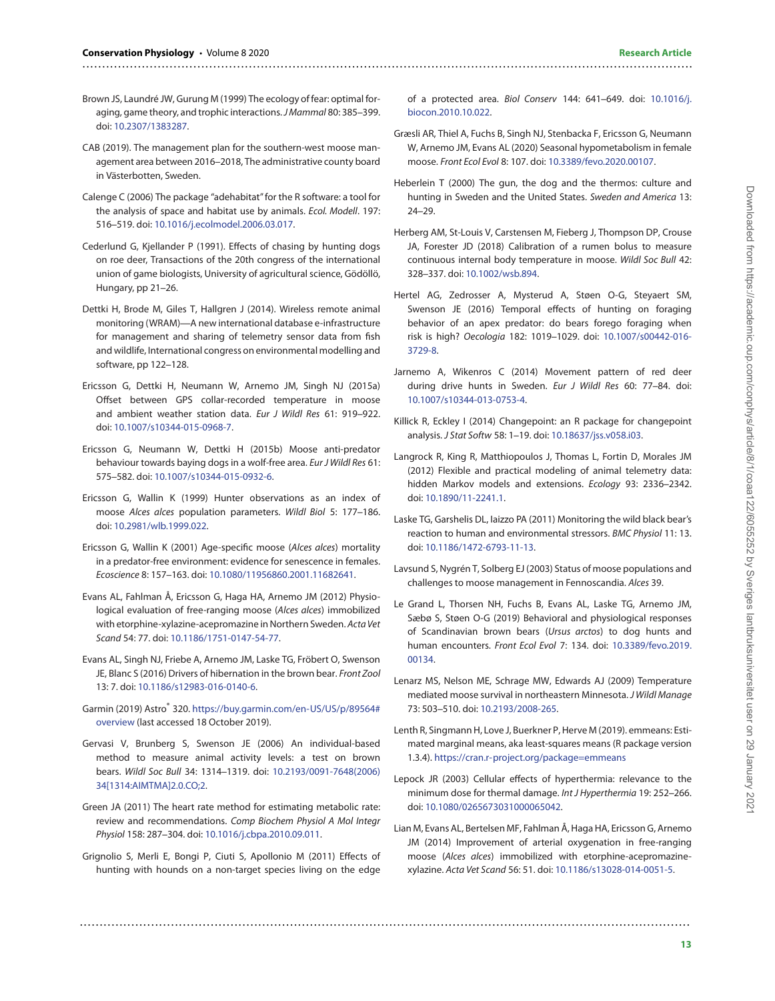- <span id="page-12-8"></span>Brown JS, Laundré JW, Gurung M (1999) The ecology of fear: optimal foraging, game theory, and trophic interactions.J Mammal 80: 385–399. doi: [10.2307/1383287.](https://doi.org/10.2307/1383287)
- <span id="page-12-10"></span>CAB (2019). The management plan for the southern-west moose management area between 2016–2018, The administrative county board in Västerbotten, Sweden.
- <span id="page-12-20"></span>Calenge C (2006) The package "adehabitat"for the R software: a tool for the analysis of space and habitat use by animals. Ecol. Modell. 197: 516–519. doi: [10.1016/j.ecolmodel.2006.03.017.](https://doi.org/10.1016/j.ecolmodel.2006.03.017)
- <span id="page-12-6"></span>Cederlund G, Kjellander P (1991). Effects of chasing by hunting dogs on roe deer, Transactions of the 20th congress of the international union of game biologists, University of agricultural science, Gödöllö, Hungary, pp 21–26.
- <span id="page-12-16"></span>Dettki H, Brode M, Giles T, Hallgren J (2014). Wireless remote animal monitoring (WRAM)—A new international database e-infrastructure for management and sharing of telemetry sensor data from fish and wildlife, International congress on environmental modelling and software, pp 122–128.
- <span id="page-12-14"></span>Ericsson G, Dettki H, Neumann W, Arnemo JM, Singh NJ (2015a) Offset between GPS collar-recorded temperature in moose and ambient weather station data. Eur J Wildl Res 61: 919–922. doi: [10.1007/s10344-015-0968-7.](https://doi.org/10.1007/s10344-015-0968-7)
- <span id="page-12-4"></span>Ericsson G, Neumann W, Dettki H (2015b) Moose anti-predator behaviour towards baying dogs in a wolf-free area. Eur J Wildl Res 61: 575–582. doi: [10.1007/s10344-015-0932-6.](https://doi.org/10.1007/s10344-015-0932-6)
- <span id="page-12-28"></span>Ericsson G, Wallin K (1999) Hunter observations as an index of moose Alces alces population parameters. Wildl Biol 5: 177–186. doi: [10.2981/wlb.1999.022.](https://doi.org/10.2981/wlb.1999.022)
- <span id="page-12-26"></span>Ericsson G, Wallin K (2001) Age-specific moose (Alces alces) mortality in a predator-free environment: evidence for senescence in females. Ecoscience 8: 157–163. doi: [10.1080/11956860.2001.11682641.](https://doi.org/10.1080/11956860.2001.11682641)
- <span id="page-12-11"></span>Evans AL, Fahlman Å, Ericsson G, Haga HA, Arnemo JM (2012) Physiological evaluation of free-ranging moose (Alces alces) immobilized with etorphine-xylazine-acepromazine in Northern Sweden. Acta Vet Scand 54: 77. doi: [10.1186/1751-0147-54-77.](https://doi.org/10.1186/1751-0147-54-77)
- <span id="page-12-23"></span>Evans AL, Singh NJ, Friebe A, Arnemo JM, Laske TG, Fröbert O, Swenson JE, Blanc S (2016) Drivers of hibernation in the brown bear. Front Zool 13: 7. doi: [10.1186/s12983-016-0140-6.](https://doi.org/10.1186/s12983-016-0140-6)
- <span id="page-12-17"></span>Garmin (2019) Astro® 320. [https://buy.garmin.com/en-US/US/p/89564#](https://buy.garmin.com/en-US/US/p/89564#overview) [overview](https://buy.garmin.com/en-US/US/p/89564#overview) (last accessed 18 October 2019).
- <span id="page-12-15"></span>Gervasi V, Brunberg S, Swenson JE (2006) An individual-based method to measure animal activity levels: a test on brown bears. Wildl Soc Bull 34: 1314–1319. doi: 10.2193/0091-7648(2006) [34\[1314:AIMTMA\]2.0.CO;2.](https://doi.org/10.2193/0091-7648(2006)34[1314:AIMTMA]2.0.CO;2)
- <span id="page-12-24"></span>Green JA (2011) The heart rate method for estimating metabolic rate: review and recommendations. Comp Biochem Physiol A Mol Integr Physiol 158: 287–304. doi: [10.1016/j.cbpa.2010.09.011.](https://doi.org/10.1016/j.cbpa.2010.09.011)
- <span id="page-12-27"></span>Grignolio S, Merli E, Bongi P, Ciuti S, Apollonio M (2011) Effects of hunting with hounds on a non-target species living on the edge

..........................................................................................................................................................

[of a protected area.](https://doi.org/10.1016/j.biocon.2010.10.022) Biol Conserv 144: 641–649. doi: 10.1016/j. biocon.2010.10.022.

- <span id="page-12-13"></span>Græsli AR, Thiel A, Fuchs B, Singh NJ, Stenbacka F, Ericsson G, Neumann W, Arnemo JM, Evans AL (2020) Seasonal hypometabolism in female moose. Front Ecol Evol 8: 107. doi: [10.3389/fevo.2020.00107.](https://doi.org/10.3389/fevo.2020.00107)
- <span id="page-12-1"></span>Heberlein T (2000) The gun, the dog and the thermos: culture and hunting in Sweden and the United States. Sweden and America 13: 24–29.
- <span id="page-12-18"></span>Herberg AM, St-Louis V, Carstensen M, Fieberg J, Thompson DP, Crouse JA, Forester JD (2018) Calibration of a rumen bolus to measure continuous internal body temperature in moose. Wildl Soc Bull 42: 328–337. doi: [10.1002/wsb.894.](https://doi.org/10.1002/wsb.894)
- <span id="page-12-7"></span>Hertel AG, Zedrosser A, Mysterud A, Støen O-G, Steyaert SM, Swenson JE (2016) Temporal effects of hunting on foraging behavior of an apex predator: do bears forego foraging when risk is high? Oecologia 182: 1019–1029. doi: [10.1007/s00442-016-](https://doi.org/10.1007/s00442-016-&break;3729-8) 3729-8.
- <span id="page-12-5"></span>Jarnemo A, Wikenros C (2014) Movement pattern of red deer during drive hunts in Sweden. Eur J Wildl Res 60: 77–84. doi: [10.1007/s10344-013-0753-4.](https://doi.org/10.1007/s10344-013-0753-4)
- <span id="page-12-22"></span>Killick R, Eckley I (2014) Changepoint: an R package for changepoint analysis. J Stat Softw 58: 1–19. doi: [10.18637/jss.v058.i03.](https://doi.org/10.18637/jss.v058.i03)
- <span id="page-12-21"></span>Langrock R, King R, Matthiopoulos J, Thomas L, Fortin D, Morales JM (2012) Flexible and practical modeling of animal telemetry data: hidden Markov models and extensions. Ecology 93: 2336–2342. doi: [10.1890/11-2241.1.](https://doi.org/10.1890/11-2241.1)
- <span id="page-12-2"></span>Laske TG, Garshelis DL, Iaizzo PA (2011) Monitoring the wild black bear's reaction to human and environmental stressors. BMC Physiol 11: 13. doi: [10.1186/1472-6793-11-13.](https://doi.org/10.1186/1472-6793-11-13)
- <span id="page-12-0"></span>Lavsund S, Nygrén T, Solberg EJ (2003) Status of moose populations and challenges to moose management in Fennoscandia. Alces 39.
- <span id="page-12-9"></span>Le Grand L, Thorsen NH, Fuchs B, Evans AL, Laske TG, Arnemo JM, Sæbø S, Støen O-G (2019) Behavioral and physiological responses of Scandinavian brown bears (Ursus arctos) to dog hunts and [human encounters.](https://doi.org/10.3389/fevo.2019.&break;00134) Front Ecol Evol 7: 134. doi: 10.3389/fevo.2019. 00134.
- <span id="page-12-25"></span>Lenarz MS, Nelson ME, Schrage MW, Edwards AJ (2009) Temperature mediated moose survival in northeastern Minnesota. J Wildl Manage 73: 503–510. doi: [10.2193/2008-265.](https://doi.org/10.2193/2008-265)
- <span id="page-12-19"></span>Lenth R, Singmann H, Love J, Buerkner P, Herve M (2019). emmeans: Estimated marginal means, aka least-squares means (R package version 1.3.4). <https://cran.r-project.org/package=emmeans>
- <span id="page-12-3"></span>Lepock JR (2003) Cellular effects of hyperthermia: relevance to the minimum dose for thermal damage. Int J Hyperthermia 19: 252–266. doi: [10.1080/0265673031000065042.](https://doi.org/10.1080/0265673031000065042)
- <span id="page-12-12"></span>Lian M, Evans AL, Bertelsen MF, Fahlman Å, Haga HA, Ericsson G, Arnemo JM (2014) Improvement of arterial oxygenation in free-ranging moose (Alces alces) immobilized with etorphine-acepromazinexylazine. Acta Vet Scand 56: 51. doi: [10.1186/s13028-014-0051-5.](https://doi.org/10.1186/s13028-014-0051-5)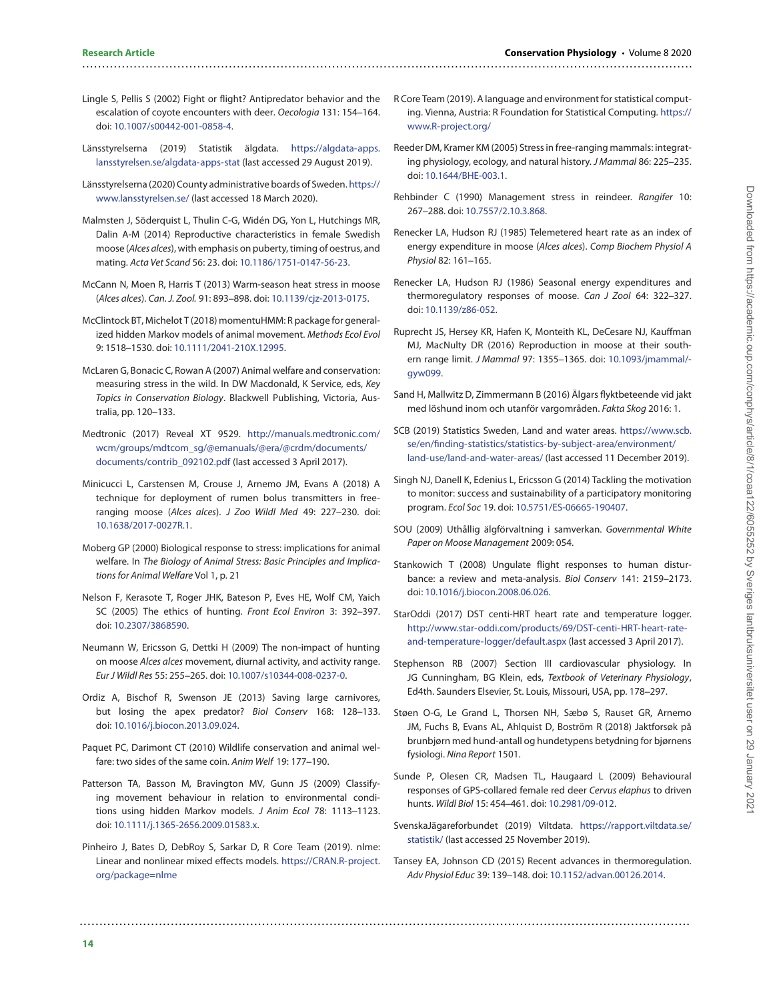#### <span id="page-13-14"></span>Lingle S, Pellis S (2002) Fight or flight? Antipredator behavior and the escalation of coyote encounters with deer. Oecologia 131: 154–164. doi: [10.1007/s00442-001-0858-4.](https://doi.org/10.1007/s00442-001-0858-4)

..........................................................................................................................................................

- <span id="page-13-30"></span>Länsstyrelserna (2019) Statistik älgdata. [https://algdata-apps.](https://algdata-apps.lansstyrelsen.se/algdata-apps-stat) [lansstyrelsen.se/algdata-apps-stat](https://algdata-apps.lansstyrelsen.se/algdata-apps-stat) (last accessed 29 August 2019).
- <span id="page-13-4"></span>Länsstyrelserna (2020) County administrative boards of Sweden. [https://](https://www.lansstyrelsen.se/) [www.lansstyrelsen.se/](https://www.lansstyrelsen.se/) (last accessed 18 March 2020).

<span id="page-13-31"></span>Malmsten J, Söderquist L, Thulin C-G, Widén DG, Yon L, Hutchings MR, Dalin A-M (2014) Reproductive characteristics in female Swedish moose (Alces alces), with emphasis on puberty, timing of oestrus, and mating. Acta Vet Scand 56: 23. doi: [10.1186/1751-0147-56-23.](https://doi.org/10.1186/1751-0147-56-23)

- <span id="page-13-27"></span>McCann N, Moen R, Harris T (2013) Warm-season heat stress in moose (Alces alces). Can. J. Zool. 91: 893–898. doi: [10.1139/cjz-2013-0175.](https://doi.org/10.1139/cjz-2013-0175)
- <span id="page-13-23"></span>McClintock BT, Michelot T (2018) momentuHMM: R package for generalized hidden Markov models of animal movement. Methods Ecol Evol 9: 1518–1530. doi: [10.1111/2041-210X.12995.](https://doi.org/10.1111/2041-210X.12995)
- <span id="page-13-0"></span>McLaren G, Bonacic C, Rowan A (2007) Animal welfare and conservation: measuring stress in the wild. In DW Macdonald, K Service, eds, Key Topics in Conservation Biology. Blackwell Publishing, Victoria, Australia, pp. 120–133.
- <span id="page-13-19"></span>Medtronic (2017) Reveal XT 9529. [http://manuals.medtronic.com/](http://manuals.medtronic.com/wcm/groups/mdtcom_sg/@emanuals/@era/@crdm/documents/documents/contrib_092102.pdf) [wcm/groups/mdtcom\\_sg/@emanuals/@era/@crdm/documents/](http://manuals.medtronic.com/wcm/groups/mdtcom_sg/@emanuals/@era/@crdm/documents/documents/contrib_092102.pdf) [documents/contrib\\_092102.pdf](http://manuals.medtronic.com/wcm/groups/mdtcom_sg/@emanuals/@era/@crdm/documents/documents/contrib_092102.pdf) (last accessed 3 April 2017).
- <span id="page-13-18"></span>Minicucci L, Carstensen M, Crouse J, Arnemo JM, Evans A (2018) A technique for deployment of rumen bolus transmitters in freeranging moose (Alces alces). J Zoo Wildl Med 49: 227–230. doi: [10.1638/2017-0027R.1.](https://doi.org/10.1638/2017-0027R.1)
- <span id="page-13-3"></span>Moberg GP (2000) Biological response to stress: implications for animal welfare. In The Biology of Animal Stress: Basic Principles and Implications for Animal Welfare Vol 1, p. 21
- <span id="page-13-5"></span>Nelson F, Kerasote T, Roger JHK, Bateson P, Eves HE, Wolf CM, Yaich SC (2005) The ethics of hunting. Front Ecol Environ 3: 392–397. doi: [10.2307/3868590.](https://doi.org/10.2307/3868590)
- <span id="page-13-10"></span>Neumann W, Ericsson G, Dettki H (2009) The non-impact of hunting on moose Alces alces movement, diurnal activity, and activity range. Eur J Wildl Res 55: 255–265. doi: [10.1007/s10344-008-0237-0.](https://doi.org/10.1007/s10344-008-0237-0)
- <span id="page-13-13"></span>Ordiz A, Bischof R, Swenson JE (2013) Saving large carnivores, but losing the apex predator? Biol Conserv 168: 128–133. doi: [10.1016/j.biocon.2013.09.024.](https://doi.org/10.1016/j.biocon.2013.09.024)
- <span id="page-13-6"></span>Paquet PC, Darimont CT (2010) Wildlife conservation and animal welfare: two sides of the same coin. Anim Welf 19: 177–190.
- <span id="page-13-22"></span>Patterson TA, Basson M, Bravington MV, Gunn JS (2009) Classifying movement behaviour in relation to environmental conditions using hidden Markov models. J Anim Ecol 78: 1113–1123. doi: [10.1111/j.1365-2656.2009.01583.x.](https://doi.org/10.1111/j.1365-2656.2009.01583.x)
- <span id="page-13-21"></span>Pinheiro J, Bates D, DebRoy S, Sarkar D, R Core Team (2019). nlme: Linear and nonlinear mixed effects models. [https://CRAN.R-project.](https://CRAN.R-project.org/package=nlme) [org/package=nlme](https://CRAN.R-project.org/package=nlme)

- <span id="page-13-24"></span>R Core Team (2019). A language and environment for statistical computing. Vienna, Austria: R Foundation for Statistical Computing. [https://](https://www.R-project.org/) [www.R-project.org/](https://www.R-project.org/)
- <span id="page-13-1"></span>Reeder DM, Kramer KM (2005) Stress in free-ranging mammals: integrating physiology, ecology, and natural history. J Mammal 86: 225–235. doi: [10.1644/BHE-003.1.](https://doi.org/10.1644/BHE-003.1)
- <span id="page-13-2"></span>Rehbinder C (1990) Management stress in reindeer. Rangifer 10: 267–288. doi: [10.7557/2.10.3.868.](https://doi.org/10.7557/2.10.3.868)
- <span id="page-13-25"></span>Renecker LA, Hudson RJ (1985) Telemetered heart rate as an index of energy expenditure in moose (Alces alces). Comp Biochem Physiol A Physiol 82: 161–165.
- <span id="page-13-28"></span>Renecker LA, Hudson RJ (1986) Seasonal energy expenditures and thermoregulatory responses of moose. Can J Zool 64: 322–327. doi: [10.1139/z86-052.](https://doi.org/10.1139/z86-052)
- <span id="page-13-26"></span>Ruprecht JS, Hersey KR, Hafen K, Monteith KL, DeCesare NJ, Kauffman MJ, MacNulty DR (2016) Reproduction in moose at their southern range limit. J Mammal 97: 1355–1365. doi: [10.1093/jmammal/](https://doi.org/10.1093/jmammal/gyw099) gyw099.
- <span id="page-13-11"></span>Sand H, Mallwitz D, Zimmermann B (2016) Älgars flyktbeteende vid jakt med löshund inom och utanför vargområden. Fakta Skog 2016: 1.
- <span id="page-13-17"></span>SCB (2019) Statistics Sweden, Land and water areas. [https://www.scb.](https://www.scb.se/en/finding-statistics/statistics-by-subject-area/environment/land-use/land-and-water-areas/) [se/en/finding-statistics/statistics-by-subject-area/environment/](https://www.scb.se/en/finding-statistics/statistics-by-subject-area/environment/land-use/land-and-water-areas/) [land-use/land-and-water-areas/](https://www.scb.se/en/finding-statistics/statistics-by-subject-area/environment/land-use/land-and-water-areas/) (last accessed 11 December 2019).
- <span id="page-13-32"></span>Singh NJ, Danell K, Edenius L, Ericsson G (2014) Tackling the motivation to monitor: success and sustainability of a participatory monitoring program. Ecol Soc 19. doi: [10.5751/ES-06665-190407.](https://doi.org/10.5751/ES-06665-190407)
- <span id="page-13-29"></span>SOU (2009) Uthållig älgförvaltning i samverkan. Governmental White Paper on Moose Management 2009: 054.
- <span id="page-13-15"></span>Stankowich T (2008) Ungulate flight responses to human disturbance: a review and meta-analysis. Biol Conserv 141: 2159–2173. doi: [10.1016/j.biocon.2008.06.026.](https://doi.org/10.1016/j.biocon.2008.06.026)
- <span id="page-13-20"></span>StarOddi (2017) DST centi-HRT heart rate and temperature logger. [http://www.star-oddi.com/products/69/DST-centi-HRT-heart-rate](http://www.star-oddi.com/products/69/DST-centi-HRT-heart-rate-and-temperature-logger/default.aspx)[and-temperature-logger/default.aspx](http://www.star-oddi.com/products/69/DST-centi-HRT-heart-rate-and-temperature-logger/default.aspx) (last accessed 3 April 2017).
- <span id="page-13-9"></span>Stephenson RB (2007) Section III cardiovascular physiology. In JG Cunningham, BG Klein, eds, Textbook of Veterinary Physiology, Ed4th. Saunders Elsevier, St. Louis, Missouri, USA, pp. 178–297.
- <span id="page-13-7"></span>Støen O-G, Le Grand L, Thorsen NH, Sæbø S, Rauset GR, Arnemo JM, Fuchs B, Evans AL, Ahlquist D, Boström R (2018) Jaktforsøk på brunbjørn med hund-antall og hundetypens betydning for bjørnens fysiologi. Nina Report 1501.
- <span id="page-13-12"></span>Sunde P, Olesen CR, Madsen TL, Haugaard L (2009) Behavioural responses of GPS-collared female red deer Cervus elaphus to driven hunts. Wildl Biol 15: 454–461. doi: [10.2981/09-012.](https://doi.org/10.2981/09-012)
- <span id="page-13-16"></span>SvenskaJägareforbundet (2019) Viltdata. [https://rapport.viltdata.se/](https://rapport.viltdata.se/statistik/) [statistik/](https://rapport.viltdata.se/statistik/) (last accessed 25 November 2019).
- <span id="page-13-8"></span>Tansey EA, Johnson CD (2015) Recent advances in thermoregulation. Adv Physiol Educ 39: 139–148. doi: [10.1152/advan.00126.2014.](https://doi.org/10.1152/advan.00126.2014)